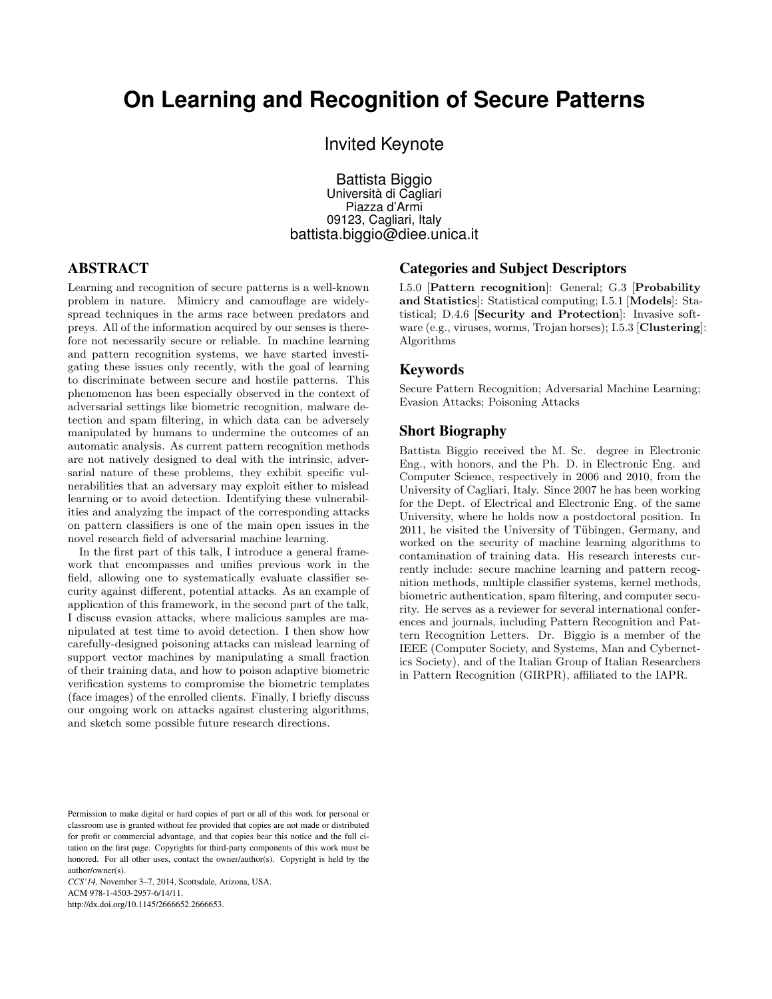# **On Learning and Recognition of Secure Patterns**

Invited Keynote

Battista Biggio Università di Cagliari Piazza d'Armi 09123, Cagliari, Italy battista.biggio@diee.unica.it

# ABSTRACT

Learning and recognition of secure patterns is a well-known problem in nature. Mimicry and camouflage are widelyspread techniques in the arms race between predators and preys. All of the information acquired by our senses is therefore not necessarily secure or reliable. In machine learning and pattern recognition systems, we have started investigating these issues only recently, with the goal of learning to discriminate between secure and hostile patterns. This phenomenon has been especially observed in the context of adversarial settings like biometric recognition, malware detection and spam filtering, in which data can be adversely manipulated by humans to undermine the outcomes of an automatic analysis. As current pattern recognition methods are not natively designed to deal with the intrinsic, adversarial nature of these problems, they exhibit specific vulnerabilities that an adversary may exploit either to mislead learning or to avoid detection. Identifying these vulnerabilities and analyzing the impact of the corresponding attacks on pattern classifiers is one of the main open issues in the novel research field of adversarial machine learning.

In the first part of this talk, I introduce a general framework that encompasses and unifies previous work in the field, allowing one to systematically evaluate classifier security against different, potential attacks. As an example of application of this framework, in the second part of the talk, I discuss evasion attacks, where malicious samples are manipulated at test time to avoid detection. I then show how carefully-designed poisoning attacks can mislead learning of support vector machines by manipulating a small fraction of their training data, and how to poison adaptive biometric verification systems to compromise the biometric templates (face images) of the enrolled clients. Finally, I briefly discuss our ongoing work on attacks against clustering algorithms, and sketch some possible future research directions.

*CCS'14,* November 3–7, 2014, Scottsdale, Arizona, USA. ACM 978-1-4503-2957-6/14/11. http://dx.doi.org/10.1145/2666652.2666653.

## Categories and Subject Descriptors

I.5.0 [Pattern recognition]: General; G.3 [Probability and Statistics]: Statistical computing; I.5.1 [Models]: Statistical; D.4.6 [Security and Protection]: Invasive software (e.g., viruses, worms, Trojan horses); I.5.3 [Clustering]: Algorithms

#### Keywords

Secure Pattern Recognition; Adversarial Machine Learning; Evasion Attacks; Poisoning Attacks

#### Short Biography

Battista Biggio received the M. Sc. degree in Electronic Eng., with honors, and the Ph. D. in Electronic Eng. and Computer Science, respectively in 2006 and 2010, from the University of Cagliari, Italy. Since 2007 he has been working for the Dept. of Electrical and Electronic Eng. of the same University, where he holds now a postdoctoral position. In  $2011$ , he visited the University of Tübingen, Germany, and worked on the security of machine learning algorithms to contamination of training data. His research interests currently include: secure machine learning and pattern recognition methods, multiple classifier systems, kernel methods, biometric authentication, spam filtering, and computer security. He serves as a reviewer for several international conferences and journals, including Pattern Recognition and Pattern Recognition Letters. Dr. Biggio is a member of the IEEE (Computer Society, and Systems, Man and Cybernetics Society), and of the Italian Group of Italian Researchers in Pattern Recognition (GIRPR), affiliated to the IAPR.

Permission to make digital or hard copies of part or all of this work for personal or classroom use is granted without fee provided that copies are not made or distributed for profit or commercial advantage, and that copies bear this notice and the full citation on the first page. Copyrights for third-party components of this work must be honored. For all other uses, contact the owner/author(s). Copyright is held by the author/owner(s).